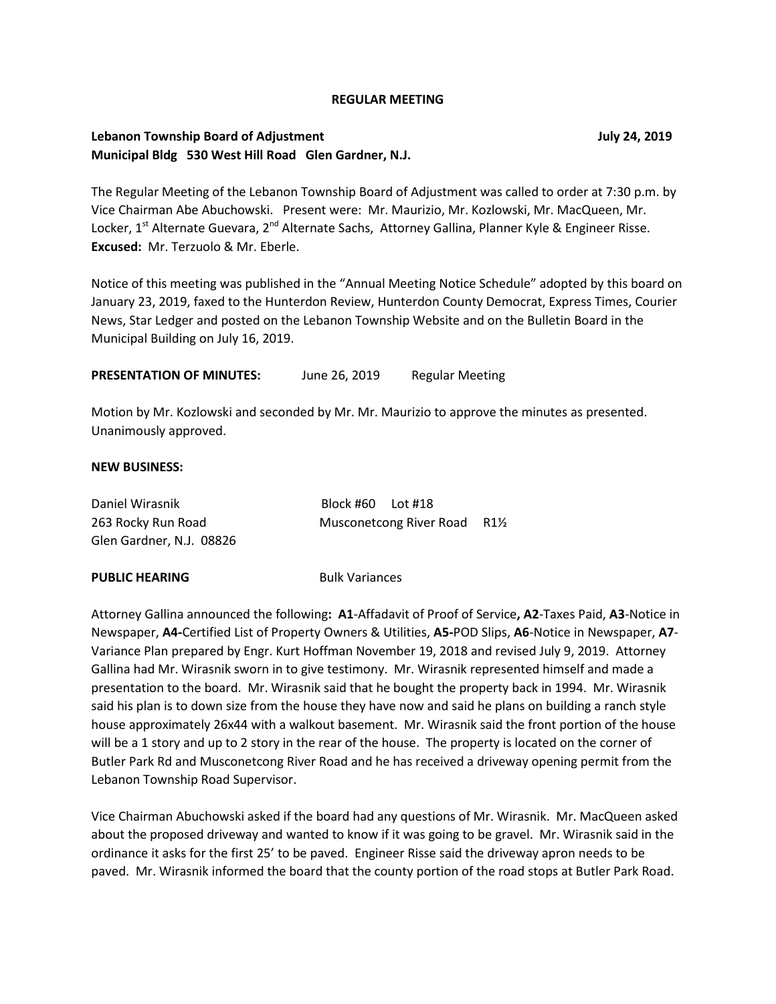#### **REGULAR MEETING**

## **Lebanon Township Board of Adjustment July 24, 2019 Municipal Bldg 530 West Hill Road Glen Gardner, N.J.**

The Regular Meeting of the Lebanon Township Board of Adjustment was called to order at 7:30 p.m. by Vice Chairman Abe Abuchowski. Present were: Mr. Maurizio, Mr. Kozlowski, Mr. MacQueen, Mr. Locker, 1<sup>st</sup> Alternate Guevara, 2<sup>nd</sup> Alternate Sachs, Attorney Gallina, Planner Kyle & Engineer Risse. **Excused:** Mr. Terzuolo & Mr. Eberle.

Notice of this meeting was published in the "Annual Meeting Notice Schedule" adopted by this board on January 23, 2019, faxed to the Hunterdon Review, Hunterdon County Democrat, Express Times, Courier News, Star Ledger and posted on the Lebanon Township Website and on the Bulletin Board in the Municipal Building on July 16, 2019.

PRESENTATION OF MINUTES: June 26, 2019 Regular Meeting

Motion by Mr. Kozlowski and seconded by Mr. Mr. Maurizio to approve the minutes as presented. Unanimously approved.

#### **NEW BUSINESS:**

| Daniel Wirasnik          | Block #60 Lot #18 |                                           |  |
|--------------------------|-------------------|-------------------------------------------|--|
| 263 Rocky Run Road       |                   | Musconetcong River Road R1 <sup>1/2</sup> |  |
| Glen Gardner, N.J. 08826 |                   |                                           |  |

#### **PUBLIC HEARING Bulk Variances**

Attorney Gallina announced the following**: A1**-Affadavit of Proof of Service**, A2**-Taxes Paid, **A3**-Notice in Newspaper, **A4-**Certified List of Property Owners & Utilities, **A5-**POD Slips, **A6**-Notice in Newspaper, **A7**- Variance Plan prepared by Engr. Kurt Hoffman November 19, 2018 and revised July 9, 2019. Attorney Gallina had Mr. Wirasnik sworn in to give testimony. Mr. Wirasnik represented himself and made a presentation to the board. Mr. Wirasnik said that he bought the property back in 1994. Mr. Wirasnik said his plan is to down size from the house they have now and said he plans on building a ranch style house approximately 26x44 with a walkout basement. Mr. Wirasnik said the front portion of the house will be a 1 story and up to 2 story in the rear of the house. The property is located on the corner of Butler Park Rd and Musconetcong River Road and he has received a driveway opening permit from the Lebanon Township Road Supervisor.

Vice Chairman Abuchowski asked if the board had any questions of Mr. Wirasnik. Mr. MacQueen asked about the proposed driveway and wanted to know if it was going to be gravel. Mr. Wirasnik said in the ordinance it asks for the first 25' to be paved. Engineer Risse said the driveway apron needs to be paved. Mr. Wirasnik informed the board that the county portion of the road stops at Butler Park Road.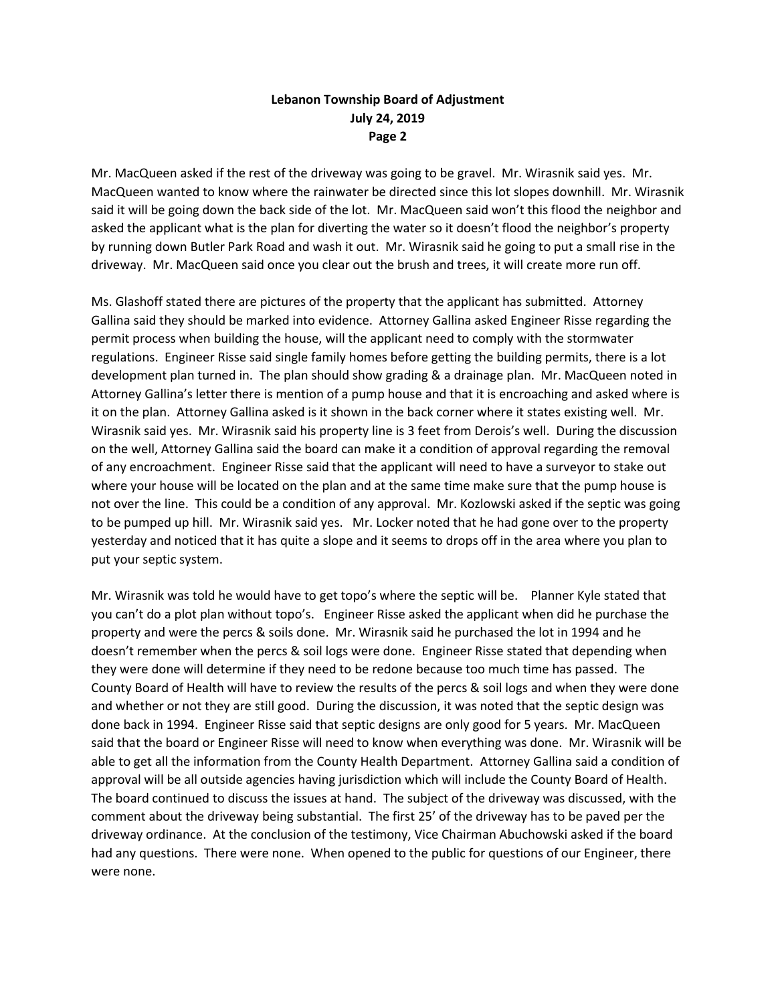# **Lebanon Township Board of Adjustment July 24, 2019 Page 2**

Mr. MacQueen asked if the rest of the driveway was going to be gravel. Mr. Wirasnik said yes. Mr. MacQueen wanted to know where the rainwater be directed since this lot slopes downhill. Mr. Wirasnik said it will be going down the back side of the lot. Mr. MacQueen said won't this flood the neighbor and asked the applicant what is the plan for diverting the water so it doesn't flood the neighbor's property by running down Butler Park Road and wash it out. Mr. Wirasnik said he going to put a small rise in the driveway. Mr. MacQueen said once you clear out the brush and trees, it will create more run off.

Ms. Glashoff stated there are pictures of the property that the applicant has submitted. Attorney Gallina said they should be marked into evidence. Attorney Gallina asked Engineer Risse regarding the permit process when building the house, will the applicant need to comply with the stormwater regulations. Engineer Risse said single family homes before getting the building permits, there is a lot development plan turned in. The plan should show grading & a drainage plan. Mr. MacQueen noted in Attorney Gallina's letter there is mention of a pump house and that it is encroaching and asked where is it on the plan. Attorney Gallina asked is it shown in the back corner where it states existing well. Mr. Wirasnik said yes. Mr. Wirasnik said his property line is 3 feet from Derois's well. During the discussion on the well, Attorney Gallina said the board can make it a condition of approval regarding the removal of any encroachment. Engineer Risse said that the applicant will need to have a surveyor to stake out where your house will be located on the plan and at the same time make sure that the pump house is not over the line. This could be a condition of any approval. Mr. Kozlowski asked if the septic was going to be pumped up hill. Mr. Wirasnik said yes. Mr. Locker noted that he had gone over to the property yesterday and noticed that it has quite a slope and it seems to drops off in the area where you plan to put your septic system.

Mr. Wirasnik was told he would have to get topo's where the septic will be. Planner Kyle stated that you can't do a plot plan without topo's. Engineer Risse asked the applicant when did he purchase the property and were the percs & soils done. Mr. Wirasnik said he purchased the lot in 1994 and he doesn't remember when the percs & soil logs were done. Engineer Risse stated that depending when they were done will determine if they need to be redone because too much time has passed. The County Board of Health will have to review the results of the percs & soil logs and when they were done and whether or not they are still good. During the discussion, it was noted that the septic design was done back in 1994. Engineer Risse said that septic designs are only good for 5 years. Mr. MacQueen said that the board or Engineer Risse will need to know when everything was done. Mr. Wirasnik will be able to get all the information from the County Health Department. Attorney Gallina said a condition of approval will be all outside agencies having jurisdiction which will include the County Board of Health. The board continued to discuss the issues at hand. The subject of the driveway was discussed, with the comment about the driveway being substantial. The first 25' of the driveway has to be paved per the driveway ordinance. At the conclusion of the testimony, Vice Chairman Abuchowski asked if the board had any questions. There were none. When opened to the public for questions of our Engineer, there were none.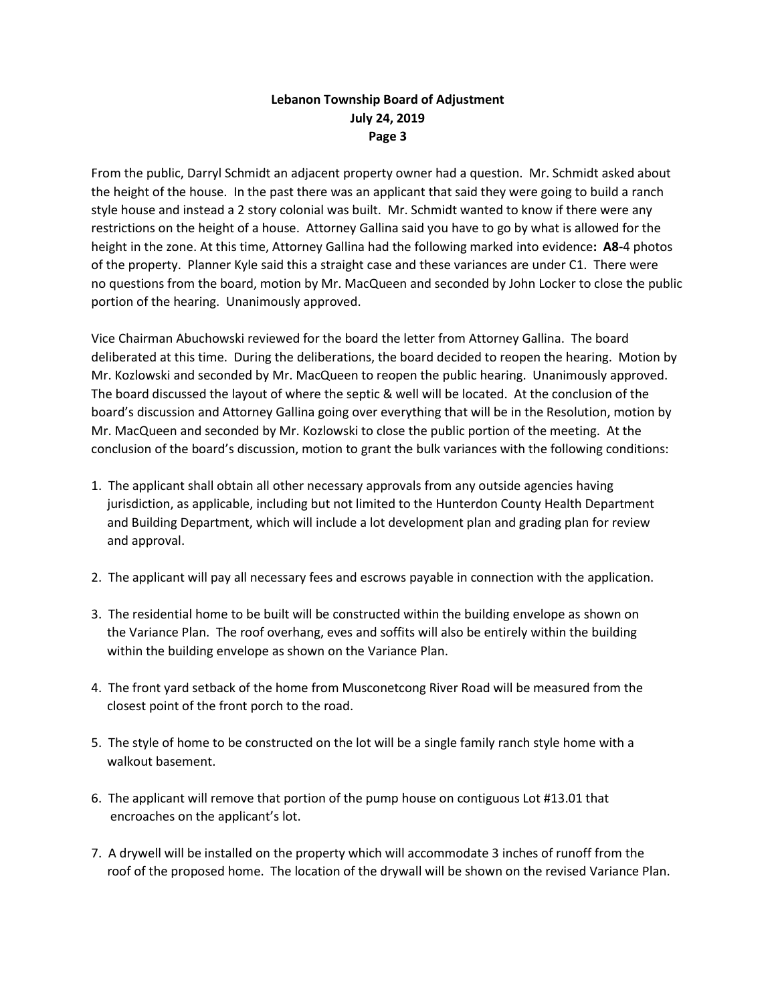# **Lebanon Township Board of Adjustment July 24, 2019 Page 3**

From the public, Darryl Schmidt an adjacent property owner had a question. Mr. Schmidt asked about the height of the house. In the past there was an applicant that said they were going to build a ranch style house and instead a 2 story colonial was built. Mr. Schmidt wanted to know if there were any restrictions on the height of a house. Attorney Gallina said you have to go by what is allowed for the height in the zone. At this time, Attorney Gallina had the following marked into evidence**: A8-**4 photos of the property. Planner Kyle said this a straight case and these variances are under C1. There were no questions from the board, motion by Mr. MacQueen and seconded by John Locker to close the public portion of the hearing. Unanimously approved.

Vice Chairman Abuchowski reviewed for the board the letter from Attorney Gallina. The board deliberated at this time. During the deliberations, the board decided to reopen the hearing. Motion by Mr. Kozlowski and seconded by Mr. MacQueen to reopen the public hearing. Unanimously approved. The board discussed the layout of where the septic & well will be located. At the conclusion of the board's discussion and Attorney Gallina going over everything that will be in the Resolution, motion by Mr. MacQueen and seconded by Mr. Kozlowski to close the public portion of the meeting. At the conclusion of the board's discussion, motion to grant the bulk variances with the following conditions:

- 1. The applicant shall obtain all other necessary approvals from any outside agencies having jurisdiction, as applicable, including but not limited to the Hunterdon County Health Department and Building Department, which will include a lot development plan and grading plan for review and approval.
- 2. The applicant will pay all necessary fees and escrows payable in connection with the application.
- 3. The residential home to be built will be constructed within the building envelope as shown on the Variance Plan. The roof overhang, eves and soffits will also be entirely within the building within the building envelope as shown on the Variance Plan.
- 4. The front yard setback of the home from Musconetcong River Road will be measured from the closest point of the front porch to the road.
- 5. The style of home to be constructed on the lot will be a single family ranch style home with a walkout basement.
- 6. The applicant will remove that portion of the pump house on contiguous Lot #13.01 that encroaches on the applicant's lot.
- 7. A drywell will be installed on the property which will accommodate 3 inches of runoff from the roof of the proposed home. The location of the drywall will be shown on the revised Variance Plan.